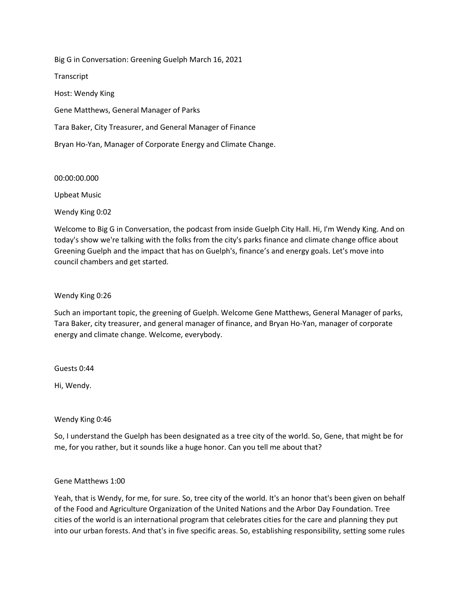Big G in Conversation: Greening Guelph March 16, 2021 **Transcript** Host: Wendy King Gene Matthews, General Manager of Parks Tara Baker, City Treasurer, and General Manager of Finance Bryan Ho-Yan, Manager of Corporate Energy and Climate Change.

00:00:00.000

Upbeat Music

Wendy King 0:02

Welcome to Big G in Conversation, the podcast from inside Guelph City Hall. Hi, I'm Wendy King. And on today's show we're talking with the folks from the city's parks finance and climate change office about Greening Guelph and the impact that has on Guelph's, finance's and energy goals. Let's move into council chambers and get started.

Wendy King 0:26

Such an important topic, the greening of Guelph. Welcome Gene Matthews, General Manager of parks, Tara Baker, city treasurer, and general manager of finance, and Bryan Ho-Yan, manager of corporate energy and climate change. Welcome, everybody.

Guests 0:44

Hi, Wendy.

Wendy King 0:46

So, I understand the Guelph has been designated as a tree city of the world. So, Gene, that might be for me, for you rather, but it sounds like a huge honor. Can you tell me about that?

## Gene Matthews 1:00

Yeah, that is Wendy, for me, for sure. So, tree city of the world. It's an honor that's been given on behalf of the Food and Agriculture Organization of the United Nations and the Arbor Day Foundation. Tree cities of the world is an international program that celebrates cities for the care and planning they put into our urban forests. And that's in five specific areas. So, establishing responsibility, setting some rules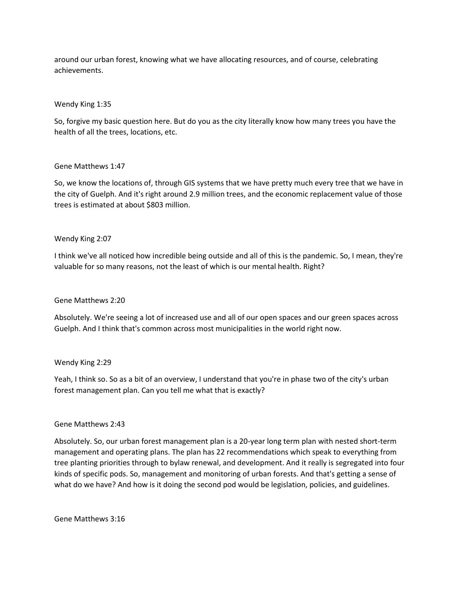around our urban forest, knowing what we have allocating resources, and of course, celebrating achievements.

# Wendy King 1:35

So, forgive my basic question here. But do you as the city literally know how many trees you have the health of all the trees, locations, etc.

## Gene Matthews 1:47

So, we know the locations of, through GIS systems that we have pretty much every tree that we have in the city of Guelph. And it's right around 2.9 million trees, and the economic replacement value of those trees is estimated at about \$803 million.

## Wendy King 2:07

I think we've all noticed how incredible being outside and all of this is the pandemic. So, I mean, they're valuable for so many reasons, not the least of which is our mental health. Right?

### Gene Matthews 2:20

Absolutely. We're seeing a lot of increased use and all of our open spaces and our green spaces across Guelph. And I think that's common across most municipalities in the world right now.

### Wendy King 2:29

Yeah, I think so. So as a bit of an overview, I understand that you're in phase two of the city's urban forest management plan. Can you tell me what that is exactly?

### Gene Matthews 2:43

Absolutely. So, our urban forest management plan is a 20-year long term plan with nested short-term management and operating plans. The plan has 22 recommendations which speak to everything from tree planting priorities through to bylaw renewal, and development. And it really is segregated into four kinds of specific pods. So, management and monitoring of urban forests. And that's getting a sense of what do we have? And how is it doing the second pod would be legislation, policies, and guidelines.

Gene Matthews 3:16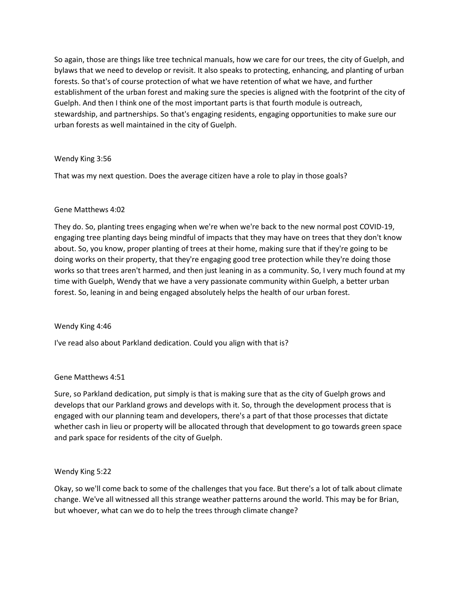So again, those are things like tree technical manuals, how we care for our trees, the city of Guelph, and bylaws that we need to develop or revisit. It also speaks to protecting, enhancing, and planting of urban forests. So that's of course protection of what we have retention of what we have, and further establishment of the urban forest and making sure the species is aligned with the footprint of the city of Guelph. And then I think one of the most important parts is that fourth module is outreach, stewardship, and partnerships. So that's engaging residents, engaging opportunities to make sure our urban forests as well maintained in the city of Guelph.

## Wendy King 3:56

That was my next question. Does the average citizen have a role to play in those goals?

## Gene Matthews 4:02

They do. So, planting trees engaging when we're when we're back to the new normal post COVID-19, engaging tree planting days being mindful of impacts that they may have on trees that they don't know about. So, you know, proper planting of trees at their home, making sure that if they're going to be doing works on their property, that they're engaging good tree protection while they're doing those works so that trees aren't harmed, and then just leaning in as a community. So, I very much found at my time with Guelph, Wendy that we have a very passionate community within Guelph, a better urban forest. So, leaning in and being engaged absolutely helps the health of our urban forest.

### Wendy King 4:46

I've read also about Parkland dedication. Could you align with that is?

# Gene Matthews 4:51

Sure, so Parkland dedication, put simply is that is making sure that as the city of Guelph grows and develops that our Parkland grows and develops with it. So, through the development process that is engaged with our planning team and developers, there's a part of that those processes that dictate whether cash in lieu or property will be allocated through that development to go towards green space and park space for residents of the city of Guelph.

### Wendy King 5:22

Okay, so we'll come back to some of the challenges that you face. But there's a lot of talk about climate change. We've all witnessed all this strange weather patterns around the world. This may be for Brian, but whoever, what can we do to help the trees through climate change?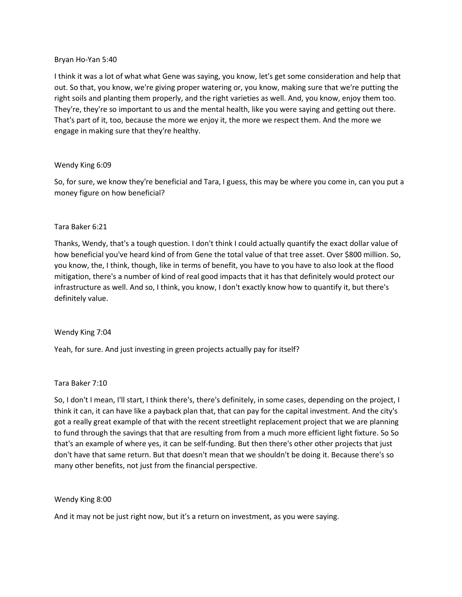# Bryan Ho-Yan 5:40

I think it was a lot of what what Gene was saying, you know, let's get some consideration and help that out. So that, you know, we're giving proper watering or, you know, making sure that we're putting the right soils and planting them properly, and the right varieties as well. And, you know, enjoy them too. They're, they're so important to us and the mental health, like you were saying and getting out there. That's part of it, too, because the more we enjoy it, the more we respect them. And the more we engage in making sure that they're healthy.

## Wendy King 6:09

So, for sure, we know they're beneficial and Tara, I guess, this may be where you come in, can you put a money figure on how beneficial?

## Tara Baker 6:21

Thanks, Wendy, that's a tough question. I don't think I could actually quantify the exact dollar value of how beneficial you've heard kind of from Gene the total value of that tree asset. Over \$800 million. So, you know, the, I think, though, like in terms of benefit, you have to you have to also look at the flood mitigation, there's a number of kind of real good impacts that it has that definitely would protect our infrastructure as well. And so, I think, you know, I don't exactly know how to quantify it, but there's definitely value.

# Wendy King 7:04

Yeah, for sure. And just investing in green projects actually pay for itself?

# Tara Baker 7:10

So, I don't I mean, I'll start, I think there's, there's definitely, in some cases, depending on the project, I think it can, it can have like a payback plan that, that can pay for the capital investment. And the city's got a really great example of that with the recent streetlight replacement project that we are planning to fund through the savings that that are resulting from from a much more efficient light fixture. So So that's an example of where yes, it can be self-funding. But then there's other other projects that just don't have that same return. But that doesn't mean that we shouldn't be doing it. Because there's so many other benefits, not just from the financial perspective.

### Wendy King 8:00

And it may not be just right now, but it's a return on investment, as you were saying.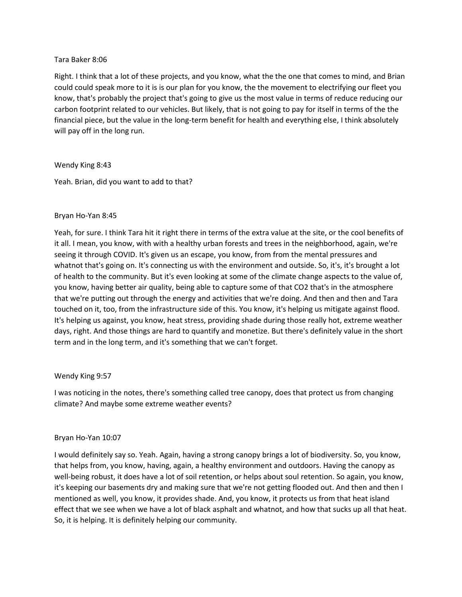## Tara Baker 8:06

Right. I think that a lot of these projects, and you know, what the the one that comes to mind, and Brian could could speak more to it is is our plan for you know, the the movement to electrifying our fleet you know, that's probably the project that's going to give us the most value in terms of reduce reducing our carbon footprint related to our vehicles. But likely, that is not going to pay for itself in terms of the the financial piece, but the value in the long-term benefit for health and everything else, I think absolutely will pay off in the long run.

## Wendy King 8:43

Yeah. Brian, did you want to add to that?

## Bryan Ho-Yan 8:45

Yeah, for sure. I think Tara hit it right there in terms of the extra value at the site, or the cool benefits of it all. I mean, you know, with with a healthy urban forests and trees in the neighborhood, again, we're seeing it through COVID. It's given us an escape, you know, from from the mental pressures and whatnot that's going on. It's connecting us with the environment and outside. So, it's, it's brought a lot of health to the community. But it's even looking at some of the climate change aspects to the value of, you know, having better air quality, being able to capture some of that CO2 that's in the atmosphere that we're putting out through the energy and activities that we're doing. And then and then and Tara touched on it, too, from the infrastructure side of this. You know, it's helping us mitigate against flood. It's helping us against, you know, heat stress, providing shade during those really hot, extreme weather days, right. And those things are hard to quantify and monetize. But there's definitely value in the short term and in the long term, and it's something that we can't forget.

### Wendy King 9:57

I was noticing in the notes, there's something called tree canopy, does that protect us from changing climate? And maybe some extreme weather events?

### Bryan Ho-Yan 10:07

I would definitely say so. Yeah. Again, having a strong canopy brings a lot of biodiversity. So, you know, that helps from, you know, having, again, a healthy environment and outdoors. Having the canopy as well-being robust, it does have a lot of soil retention, or helps about soul retention. So again, you know, it's keeping our basements dry and making sure that we're not getting flooded out. And then and then I mentioned as well, you know, it provides shade. And, you know, it protects us from that heat island effect that we see when we have a lot of black asphalt and whatnot, and how that sucks up all that heat. So, it is helping. It is definitely helping our community.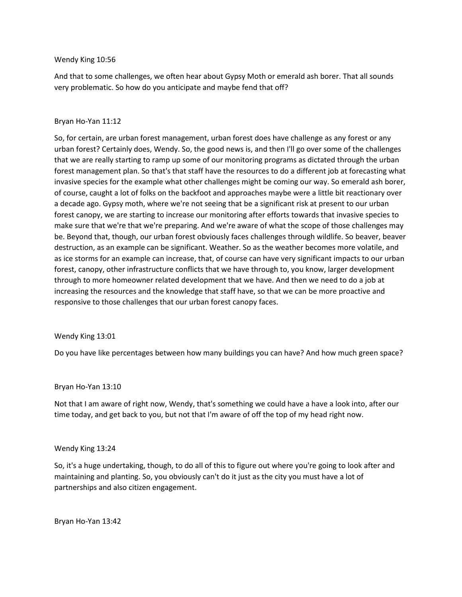#### Wendy King 10:56

And that to some challenges, we often hear about Gypsy Moth or emerald ash borer. That all sounds very problematic. So how do you anticipate and maybe fend that off?

#### Bryan Ho-Yan 11:12

So, for certain, are urban forest management, urban forest does have challenge as any forest or any urban forest? Certainly does, Wendy. So, the good news is, and then I'll go over some of the challenges that we are really starting to ramp up some of our monitoring programs as dictated through the urban forest management plan. So that's that staff have the resources to do a different job at forecasting what invasive species for the example what other challenges might be coming our way. So emerald ash borer, of course, caught a lot of folks on the backfoot and approaches maybe were a little bit reactionary over a decade ago. Gypsy moth, where we're not seeing that be a significant risk at present to our urban forest canopy, we are starting to increase our monitoring after efforts towards that invasive species to make sure that we're that we're preparing. And we're aware of what the scope of those challenges may be. Beyond that, though, our urban forest obviously faces challenges through wildlife. So beaver, beaver destruction, as an example can be significant. Weather. So as the weather becomes more volatile, and as ice storms for an example can increase, that, of course can have very significant impacts to our urban forest, canopy, other infrastructure conflicts that we have through to, you know, larger development through to more homeowner related development that we have. And then we need to do a job at increasing the resources and the knowledge that staff have, so that we can be more proactive and responsive to those challenges that our urban forest canopy faces.

#### Wendy King 13:01

Do you have like percentages between how many buildings you can have? And how much green space?

#### Bryan Ho-Yan 13:10

Not that I am aware of right now, Wendy, that's something we could have a have a look into, after our time today, and get back to you, but not that I'm aware of off the top of my head right now.

#### Wendy King 13:24

So, it's a huge undertaking, though, to do all of this to figure out where you're going to look after and maintaining and planting. So, you obviously can't do it just as the city you must have a lot of partnerships and also citizen engagement.

Bryan Ho-Yan 13:42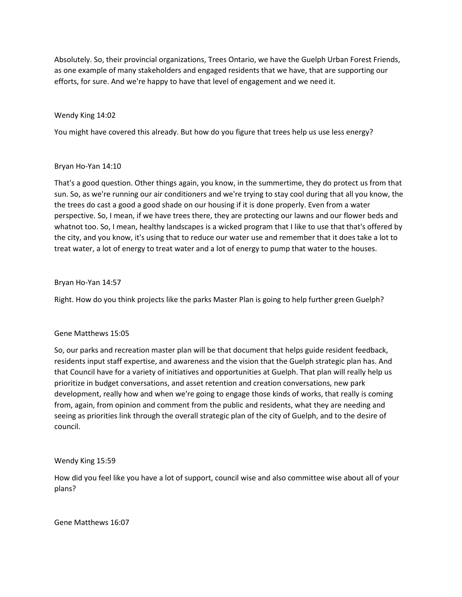Absolutely. So, their provincial organizations, Trees Ontario, we have the Guelph Urban Forest Friends, as one example of many stakeholders and engaged residents that we have, that are supporting our efforts, for sure. And we're happy to have that level of engagement and we need it.

## Wendy King 14:02

You might have covered this already. But how do you figure that trees help us use less energy?

### Bryan Ho-Yan 14:10

That's a good question. Other things again, you know, in the summertime, they do protect us from that sun. So, as we're running our air conditioners and we're trying to stay cool during that all you know, the the trees do cast a good a good shade on our housing if it is done properly. Even from a water perspective. So, I mean, if we have trees there, they are protecting our lawns and our flower beds and whatnot too. So, I mean, healthy landscapes is a wicked program that I like to use that that's offered by the city, and you know, it's using that to reduce our water use and remember that it does take a lot to treat water, a lot of energy to treat water and a lot of energy to pump that water to the houses.

## Bryan Ho-Yan 14:57

Right. How do you think projects like the parks Master Plan is going to help further green Guelph?

### Gene Matthews 15:05

So, our parks and recreation master plan will be that document that helps guide resident feedback, residents input staff expertise, and awareness and the vision that the Guelph strategic plan has. And that Council have for a variety of initiatives and opportunities at Guelph. That plan will really help us prioritize in budget conversations, and asset retention and creation conversations, new park development, really how and when we're going to engage those kinds of works, that really is coming from, again, from opinion and comment from the public and residents, what they are needing and seeing as priorities link through the overall strategic plan of the city of Guelph, and to the desire of council.

### Wendy King 15:59

How did you feel like you have a lot of support, council wise and also committee wise about all of your plans?

Gene Matthews 16:07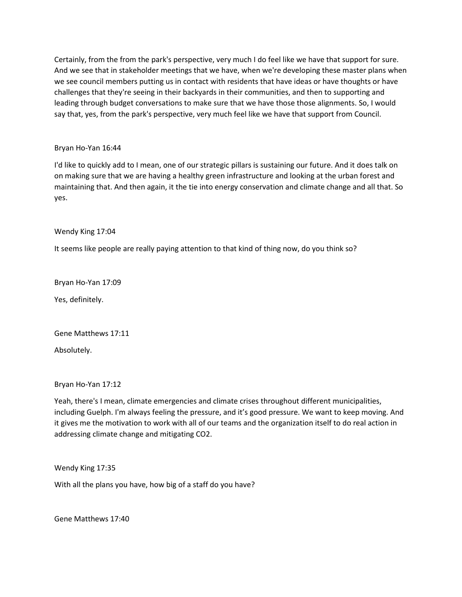Certainly, from the from the park's perspective, very much I do feel like we have that support for sure. And we see that in stakeholder meetings that we have, when we're developing these master plans when we see council members putting us in contact with residents that have ideas or have thoughts or have challenges that they're seeing in their backyards in their communities, and then to supporting and leading through budget conversations to make sure that we have those those alignments. So, I would say that, yes, from the park's perspective, very much feel like we have that support from Council.

# Bryan Ho-Yan 16:44

I'd like to quickly add to I mean, one of our strategic pillars is sustaining our future. And it does talk on on making sure that we are having a healthy green infrastructure and looking at the urban forest and maintaining that. And then again, it the tie into energy conservation and climate change and all that. So yes.

Wendy King 17:04

It seems like people are really paying attention to that kind of thing now, do you think so?

Bryan Ho-Yan 17:09

Yes, definitely.

Gene Matthews 17:11

Absolutely.

Bryan Ho-Yan 17:12

Yeah, there's I mean, climate emergencies and climate crises throughout different municipalities, including Guelph. I'm always feeling the pressure, and it's good pressure. We want to keep moving. And it gives me the motivation to work with all of our teams and the organization itself to do real action in addressing climate change and mitigating CO2.

Wendy King 17:35

With all the plans you have, how big of a staff do you have?

Gene Matthews 17:40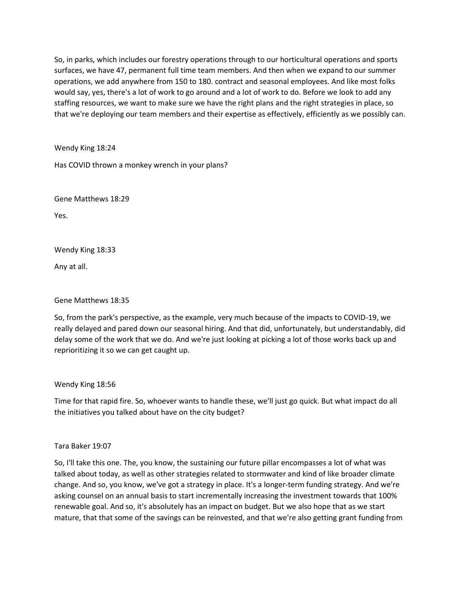So, in parks, which includes our forestry operations through to our horticultural operations and sports surfaces, we have 47, permanent full time team members. And then when we expand to our summer operations, we add anywhere from 150 to 180. contract and seasonal employees. And like most folks would say, yes, there's a lot of work to go around and a lot of work to do. Before we look to add any staffing resources, we want to make sure we have the right plans and the right strategies in place, so that we're deploying our team members and their expertise as effectively, efficiently as we possibly can.

Wendy King 18:24

Has COVID thrown a monkey wrench in your plans?

Gene Matthews 18:29

Yes.

Wendy King 18:33

Any at all.

Gene Matthews 18:35

So, from the park's perspective, as the example, very much because of the impacts to COVID-19, we really delayed and pared down our seasonal hiring. And that did, unfortunately, but understandably, did delay some of the work that we do. And we're just looking at picking a lot of those works back up and reprioritizing it so we can get caught up.

Wendy King 18:56

Time for that rapid fire. So, whoever wants to handle these, we'll just go quick. But what impact do all the initiatives you talked about have on the city budget?

Tara Baker 19:07

So, I'll take this one. The, you know, the sustaining our future pillar encompasses a lot of what was talked about today, as well as other strategies related to stormwater and kind of like broader climate change. And so, you know, we've got a strategy in place. It's a longer-term funding strategy. And we're asking counsel on an annual basis to start incrementally increasing the investment towards that 100% renewable goal. And so, it's absolutely has an impact on budget. But we also hope that as we start mature, that that some of the savings can be reinvested, and that we're also getting grant funding from